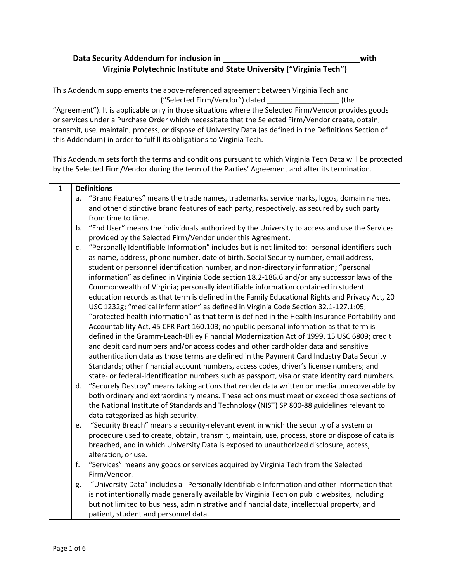## **Data Security Addendum for inclusion in with Virginia Polytechnic Institute and State University ("Virginia Tech")**

"Agreement"). It is applicable only in those situations where the Selected Firm/Vendor provides goods or services under a Purchase Order which necessitate that the Selected Firm/Vendor create, obtain, transmit, use, maintain, process, or dispose of University Data (as defined in the Definitions Section of

("Selected Firm/Vendor") dated \_\_\_\_\_\_\_\_\_\_\_\_\_\_\_\_\_\_ (the

This Addendum supplements the above-referenced agreement between Virginia Tech and

this Addendum) in order to fulfill its obligations to Virginia Tech. This Addendum sets forth the terms and conditions pursuant to which Virginia Tech Data will be protected by the Selected Firm/Vendor during the term of the Parties' Agreement and after its termination. 1 **Definitions**  a. "Brand Features" means the trade names, trademarks, service marks, logos, domain names, and other distinctive brand features of each party, respectively, as secured by such party from time to time. b. "End User" means the individuals authorized by the University to access and use the Services provided by the Selected Firm/Vendor under this Agreement. c. "Personally Identifiable Information" includes but is not limited to: personal identifiers such as name, address, phone number, date of birth, Social Security number, email address, student or personnel identification number, and non-directory information; "personal information" as defined in Virginia Code section 18.2-186.6 and/or any successor laws of the Commonwealth of Virginia; personally identifiable information contained in student education records as that term is defined in the Family Educational Rights and Privacy Act, 20 USC 1232g; "medical information" as defined in Virginia Code Section 32.1-127.1:05; "protected health information" as that term is defined in the Health Insurance Portability and Accountability Act, 45 CFR Part 160.103; nonpublic personal information as that term is defined in the Gramm-Leach-Bliley Financial Modernization Act of 1999, 15 USC 6809; credit and debit card numbers and/or access codes and other cardholder data and sensitive authentication data as those terms are defined in the Payment Card Industry Data Security Standards; other financial account numbers, access codes, driver's license numbers; and state- or federal-identification numbers such as passport, visa or state identity card numbers. d. "Securely Destroy" means taking actions that render data written on media unrecoverable by both ordinary and extraordinary means. These actions must meet or exceed those sections of the National Institute of Standards and Technology (NIST) SP 800-88 guidelines relevant to data categorized as high security. e. "Security Breach" means a security-relevant event in which the security of a system or procedure used to create, obtain, transmit, maintain, use, process, store or dispose of data is breached, and in which University Data is exposed to unauthorized disclosure, access, alteration, or use. f. "Services" means any goods or services acquired by Virginia Tech from the Selected Firm/Vendor. g. "University Data" includes all Personally Identifiable Information and other information that is not intentionally made generally available by Virginia Tech on public websites, including but not limited to business, administrative and financial data, intellectual property, and patient, student and personnel data.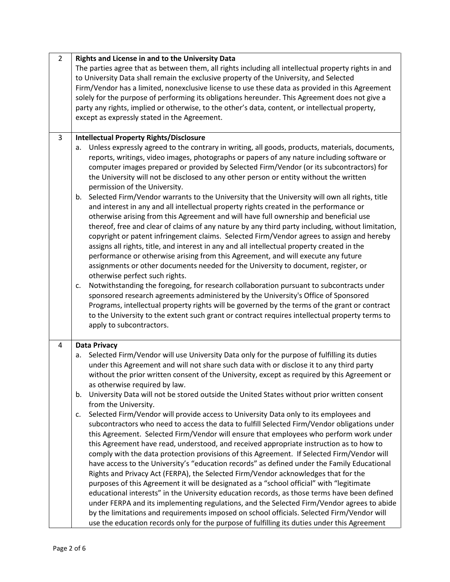| $\overline{2}$                                                                                    | Rights and License in and to the University Data                                                     |  |  |  |
|---------------------------------------------------------------------------------------------------|------------------------------------------------------------------------------------------------------|--|--|--|
|                                                                                                   | The parties agree that as between them, all rights including all intellectual property rights in and |  |  |  |
|                                                                                                   | to University Data shall remain the exclusive property of the University, and Selected               |  |  |  |
|                                                                                                   | Firm/Vendor has a limited, nonexclusive license to use these data as provided in this Agreement      |  |  |  |
|                                                                                                   | solely for the purpose of performing its obligations hereunder. This Agreement does not give a       |  |  |  |
|                                                                                                   | party any rights, implied or otherwise, to the other's data, content, or intellectual property,      |  |  |  |
|                                                                                                   |                                                                                                      |  |  |  |
| except as expressly stated in the Agreement.                                                      |                                                                                                      |  |  |  |
|                                                                                                   |                                                                                                      |  |  |  |
| 3                                                                                                 | <b>Intellectual Property Rights/Disclosure</b>                                                       |  |  |  |
|                                                                                                   | Unless expressly agreed to the contrary in writing, all goods, products, materials, documents,<br>a. |  |  |  |
|                                                                                                   | reports, writings, video images, photographs or papers of any nature including software or           |  |  |  |
|                                                                                                   | computer images prepared or provided by Selected Firm/Vendor (or its subcontractors) for             |  |  |  |
|                                                                                                   | the University will not be disclosed to any other person or entity without the written               |  |  |  |
|                                                                                                   | permission of the University.                                                                        |  |  |  |
|                                                                                                   | Selected Firm/Vendor warrants to the University that the University will own all rights, title<br>b. |  |  |  |
|                                                                                                   | and interest in any and all intellectual property rights created in the performance or               |  |  |  |
|                                                                                                   |                                                                                                      |  |  |  |
|                                                                                                   | otherwise arising from this Agreement and will have full ownership and beneficial use                |  |  |  |
| thereof, free and clear of claims of any nature by any third party including, without limitation, |                                                                                                      |  |  |  |
|                                                                                                   | copyright or patent infringement claims. Selected Firm/Vendor agrees to assign and hereby            |  |  |  |
| assigns all rights, title, and interest in any and all intellectual property created in the       |                                                                                                      |  |  |  |
| performance or otherwise arising from this Agreement, and will execute any future                 |                                                                                                      |  |  |  |
| assignments or other documents needed for the University to document, register, or                |                                                                                                      |  |  |  |
|                                                                                                   | otherwise perfect such rights.                                                                       |  |  |  |
|                                                                                                   | Notwithstanding the foregoing, for research collaboration pursuant to subcontracts under<br>c.       |  |  |  |
|                                                                                                   | sponsored research agreements administered by the University's Office of Sponsored                   |  |  |  |
|                                                                                                   | Programs, intellectual property rights will be governed by the terms of the grant or contract        |  |  |  |
|                                                                                                   | to the University to the extent such grant or contract requires intellectual property terms to       |  |  |  |
|                                                                                                   | apply to subcontractors.                                                                             |  |  |  |
|                                                                                                   |                                                                                                      |  |  |  |
| 4                                                                                                 | <b>Data Privacy</b>                                                                                  |  |  |  |
|                                                                                                   | Selected Firm/Vendor will use University Data only for the purpose of fulfilling its duties<br>а.    |  |  |  |
|                                                                                                   | under this Agreement and will not share such data with or disclose it to any third party             |  |  |  |
|                                                                                                   | without the prior written consent of the University, except as required by this Agreement or         |  |  |  |
|                                                                                                   | as otherwise required by law.                                                                        |  |  |  |
|                                                                                                   |                                                                                                      |  |  |  |
|                                                                                                   | University Data will not be stored outside the United States without prior written consent<br>b.     |  |  |  |
|                                                                                                   | from the University.                                                                                 |  |  |  |
|                                                                                                   | Selected Firm/Vendor will provide access to University Data only to its employees and<br>c.          |  |  |  |
|                                                                                                   | subcontractors who need to access the data to fulfill Selected Firm/Vendor obligations under         |  |  |  |
|                                                                                                   | this Agreement. Selected Firm/Vendor will ensure that employees who perform work under               |  |  |  |
|                                                                                                   | this Agreement have read, understood, and received appropriate instruction as to how to              |  |  |  |
|                                                                                                   | comply with the data protection provisions of this Agreement. If Selected Firm/Vendor will           |  |  |  |
|                                                                                                   | have access to the University's "education records" as defined under the Family Educational          |  |  |  |
|                                                                                                   | Rights and Privacy Act (FERPA), the Selected Firm/Vendor acknowledges that for the                   |  |  |  |
|                                                                                                   | purposes of this Agreement it will be designated as a "school official" with "legitimate             |  |  |  |
|                                                                                                   | educational interests" in the University education records, as those terms have been defined         |  |  |  |
|                                                                                                   | under FERPA and its implementing regulations, and the Selected Firm/Vendor agrees to abide           |  |  |  |
| by the limitations and requirements imposed on school officials. Selected Firm/Vendor will        |                                                                                                      |  |  |  |
|                                                                                                   |                                                                                                      |  |  |  |
|                                                                                                   | use the education records only for the purpose of fulfilling its duties under this Agreement         |  |  |  |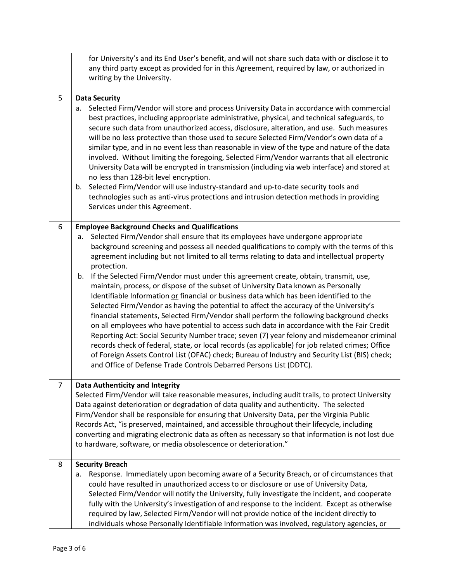|   | for University's and its End User's benefit, and will not share such data with or disclose it to<br>any third party except as provided for in this Agreement, required by law, or authorized in<br>writing by the University.                                                                                                                                                                                                                                                                                                                                                                                                                                                                                                                                                                                                                                                                                                                                                                                                                                                                                                                                                                                                                                                                             |  |
|---|-----------------------------------------------------------------------------------------------------------------------------------------------------------------------------------------------------------------------------------------------------------------------------------------------------------------------------------------------------------------------------------------------------------------------------------------------------------------------------------------------------------------------------------------------------------------------------------------------------------------------------------------------------------------------------------------------------------------------------------------------------------------------------------------------------------------------------------------------------------------------------------------------------------------------------------------------------------------------------------------------------------------------------------------------------------------------------------------------------------------------------------------------------------------------------------------------------------------------------------------------------------------------------------------------------------|--|
| 5 | <b>Data Security</b><br>Selected Firm/Vendor will store and process University Data in accordance with commercial<br>a.<br>best practices, including appropriate administrative, physical, and technical safeguards, to<br>secure such data from unauthorized access, disclosure, alteration, and use. Such measures<br>will be no less protective than those used to secure Selected Firm/Vendor's own data of a<br>similar type, and in no event less than reasonable in view of the type and nature of the data<br>involved. Without limiting the foregoing, Selected Firm/Vendor warrants that all electronic<br>University Data will be encrypted in transmission (including via web interface) and stored at<br>no less than 128-bit level encryption.<br>Selected Firm/Vendor will use industry-standard and up-to-date security tools and<br>b.<br>technologies such as anti-virus protections and intrusion detection methods in providing<br>Services under this Agreement.                                                                                                                                                                                                                                                                                                                     |  |
| 6 | <b>Employee Background Checks and Qualifications</b><br>Selected Firm/Vendor shall ensure that its employees have undergone appropriate<br>а.<br>background screening and possess all needed qualifications to comply with the terms of this<br>agreement including but not limited to all terms relating to data and intellectual property<br>protection.<br>If the Selected Firm/Vendor must under this agreement create, obtain, transmit, use,<br>b.<br>maintain, process, or dispose of the subset of University Data known as Personally<br>Identifiable Information or financial or business data which has been identified to the<br>Selected Firm/Vendor as having the potential to affect the accuracy of the University's<br>financial statements, Selected Firm/Vendor shall perform the following background checks<br>on all employees who have potential to access such data in accordance with the Fair Credit<br>Reporting Act: Social Security Number trace; seven (7) year felony and misdemeanor criminal<br>records check of federal, state, or local records (as applicable) for job related crimes; Office<br>of Foreign Assets Control List (OFAC) check; Bureau of Industry and Security List (BIS) check;<br>and Office of Defense Trade Controls Debarred Persons List (DDTC). |  |
| 7 | Data Authenticity and Integrity<br>Selected Firm/Vendor will take reasonable measures, including audit trails, to protect University<br>Data against deterioration or degradation of data quality and authenticity. The selected<br>Firm/Vendor shall be responsible for ensuring that University Data, per the Virginia Public<br>Records Act, "is preserved, maintained, and accessible throughout their lifecycle, including<br>converting and migrating electronic data as often as necessary so that information is not lost due<br>to hardware, software, or media obsolescence or deterioration."                                                                                                                                                                                                                                                                                                                                                                                                                                                                                                                                                                                                                                                                                                  |  |
| 8 | <b>Security Breach</b><br>Response. Immediately upon becoming aware of a Security Breach, or of circumstances that<br>a.<br>could have resulted in unauthorized access to or disclosure or use of University Data,<br>Selected Firm/Vendor will notify the University, fully investigate the incident, and cooperate<br>fully with the University's investigation of and response to the incident. Except as otherwise<br>required by law, Selected Firm/Vendor will not provide notice of the incident directly to<br>individuals whose Personally Identifiable Information was involved, regulatory agencies, or                                                                                                                                                                                                                                                                                                                                                                                                                                                                                                                                                                                                                                                                                        |  |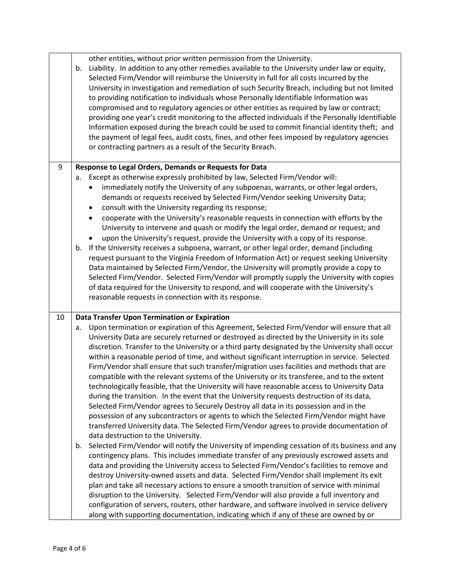|    | other entities, without prior written permission from the University.<br>Liability. In addition to any other remedies available to the University under law or equity,<br>b.<br>Selected Firm/Vendor will reimburse the University in full for all costs incurred by the<br>University in investigation and remediation of such Security Breach, including but not limited<br>to providing notification to individuals whose Personally Identifiable Information was<br>compromised and to regulatory agencies or other entities as required by law or contract;<br>providing one year's credit monitoring to the affected individuals if the Personally Identifiable<br>Information exposed during the breach could be used to commit financial identity theft; and<br>the payment of legal fees, audit costs, fines, and other fees imposed by regulatory agencies<br>or contracting partners as a result of the Security Breach.                                                                                                                                                                                                                                                                                                                                                                                                                                                                                                                                                                                                                                                                                                                                                                                                                                                                                                                                                                       |
|----|-----------------------------------------------------------------------------------------------------------------------------------------------------------------------------------------------------------------------------------------------------------------------------------------------------------------------------------------------------------------------------------------------------------------------------------------------------------------------------------------------------------------------------------------------------------------------------------------------------------------------------------------------------------------------------------------------------------------------------------------------------------------------------------------------------------------------------------------------------------------------------------------------------------------------------------------------------------------------------------------------------------------------------------------------------------------------------------------------------------------------------------------------------------------------------------------------------------------------------------------------------------------------------------------------------------------------------------------------------------------------------------------------------------------------------------------------------------------------------------------------------------------------------------------------------------------------------------------------------------------------------------------------------------------------------------------------------------------------------------------------------------------------------------------------------------------------------------------------------------------------------------------------------------|
| 9  | Response to Legal Orders, Demands or Requests for Data                                                                                                                                                                                                                                                                                                                                                                                                                                                                                                                                                                                                                                                                                                                                                                                                                                                                                                                                                                                                                                                                                                                                                                                                                                                                                                                                                                                                                                                                                                                                                                                                                                                                                                                                                                                                                                                    |
|    | Except as otherwise expressly prohibited by law, Selected Firm/Vendor will:<br>а.<br>immediately notify the University of any subpoenas, warrants, or other legal orders,<br>$\bullet$<br>demands or requests received by Selected Firm/Vendor seeking University Data;<br>consult with the University regarding its response;<br>$\bullet$<br>cooperate with the University's reasonable requests in connection with efforts by the<br>$\bullet$<br>University to intervene and quash or modify the legal order, demand or request; and<br>upon the University's request, provide the University with a copy of its response.<br>If the University receives a subpoena, warrant, or other legal order, demand (including<br>b.<br>request pursuant to the Virginia Freedom of Information Act) or request seeking University<br>Data maintained by Selected Firm/Vendor, the University will promptly provide a copy to<br>Selected Firm/Vendor. Selected Firm/Vendor will promptly supply the University with copies<br>of data required for the University to respond, and will cooperate with the University's<br>reasonable requests in connection with its response.                                                                                                                                                                                                                                                                                                                                                                                                                                                                                                                                                                                                                                                                                                                                |
| 10 | Data Transfer Upon Termination or Expiration                                                                                                                                                                                                                                                                                                                                                                                                                                                                                                                                                                                                                                                                                                                                                                                                                                                                                                                                                                                                                                                                                                                                                                                                                                                                                                                                                                                                                                                                                                                                                                                                                                                                                                                                                                                                                                                              |
|    | Upon termination or expiration of this Agreement, Selected Firm/Vendor will ensure that all<br>a.<br>University Data are securely returned or destroyed as directed by the University in its sole<br>discretion. Transfer to the University or a third party designated by the University shall occur<br>within a reasonable period of time, and without significant interruption in service. Selected<br>Firm/Vendor shall ensure that such transfer/migration uses facilities and methods that are<br>compatible with the relevant systems of the University or its transferee, and to the extent<br>technologically feasible, that the University will have reasonable access to University Data<br>during the transition. In the event that the University requests destruction of its data,<br>Selected Firm/Vendor agrees to Securely Destroy all data in its possession and in the<br>possession of any subcontractors or agents to which the Selected Firm/Vendor might have<br>transferred University data. The Selected Firm/Vendor agrees to provide documentation of<br>data destruction to the University.<br>Selected Firm/Vendor will notify the University of impending cessation of its business and any<br>b.<br>contingency plans. This includes immediate transfer of any previously escrowed assets and<br>data and providing the University access to Selected Firm/Vendor's facilities to remove and<br>destroy University-owned assets and data. Selected Firm/Vendor shall implement its exit<br>plan and take all necessary actions to ensure a smooth transition of service with minimal<br>disruption to the University. Selected Firm/Vendor will also provide a full inventory and<br>configuration of servers, routers, other hardware, and software involved in service delivery<br>along with supporting documentation, indicating which if any of these are owned by or |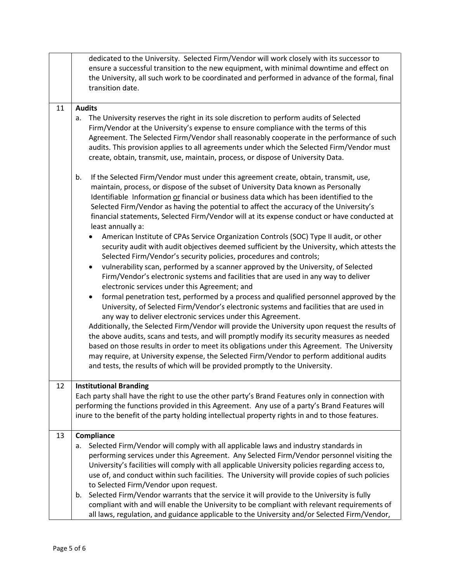|                                                                                                                                                                                                                                                                                                                                                                                                                                                                                            | dedicated to the University. Selected Firm/Vendor will work closely with its successor to<br>ensure a successful transition to the new equipment, with minimal downtime and effect on<br>the University, all such work to be coordinated and performed in advance of the formal, final<br>transition date.                                                                                                                                                                 |
|--------------------------------------------------------------------------------------------------------------------------------------------------------------------------------------------------------------------------------------------------------------------------------------------------------------------------------------------------------------------------------------------------------------------------------------------------------------------------------------------|----------------------------------------------------------------------------------------------------------------------------------------------------------------------------------------------------------------------------------------------------------------------------------------------------------------------------------------------------------------------------------------------------------------------------------------------------------------------------|
| 11                                                                                                                                                                                                                                                                                                                                                                                                                                                                                         | <b>Audits</b>                                                                                                                                                                                                                                                                                                                                                                                                                                                              |
|                                                                                                                                                                                                                                                                                                                                                                                                                                                                                            | The University reserves the right in its sole discretion to perform audits of Selected<br>a.<br>Firm/Vendor at the University's expense to ensure compliance with the terms of this<br>Agreement. The Selected Firm/Vendor shall reasonably cooperate in the performance of such<br>audits. This provision applies to all agreements under which the Selected Firm/Vendor must<br>create, obtain, transmit, use, maintain, process, or dispose of University Data.         |
| If the Selected Firm/Vendor must under this agreement create, obtain, transmit, use,<br>b.<br>maintain, process, or dispose of the subset of University Data known as Personally<br>Identifiable Information or financial or business data which has been identified to the<br>Selected Firm/Vendor as having the potential to affect the accuracy of the University's<br>financial statements, Selected Firm/Vendor will at its expense conduct or have conducted at<br>least annually a: |                                                                                                                                                                                                                                                                                                                                                                                                                                                                            |
|                                                                                                                                                                                                                                                                                                                                                                                                                                                                                            | American Institute of CPAs Service Organization Controls (SOC) Type II audit, or other<br>security audit with audit objectives deemed sufficient by the University, which attests the<br>Selected Firm/Vendor's security policies, procedures and controls;<br>vulnerability scan, performed by a scanner approved by the University, of Selected                                                                                                                          |
|                                                                                                                                                                                                                                                                                                                                                                                                                                                                                            | Firm/Vendor's electronic systems and facilities that are used in any way to deliver<br>electronic services under this Agreement; and                                                                                                                                                                                                                                                                                                                                       |
|                                                                                                                                                                                                                                                                                                                                                                                                                                                                                            | formal penetration test, performed by a process and qualified personnel approved by the<br>$\bullet$<br>University, of Selected Firm/Vendor's electronic systems and facilities that are used in<br>any way to deliver electronic services under this Agreement.                                                                                                                                                                                                           |
|                                                                                                                                                                                                                                                                                                                                                                                                                                                                                            | Additionally, the Selected Firm/Vendor will provide the University upon request the results of<br>the above audits, scans and tests, and will promptly modify its security measures as needed<br>based on those results in order to meet its obligations under this Agreement. The University<br>may require, at University expense, the Selected Firm/Vendor to perform additional audits<br>and tests, the results of which will be provided promptly to the University. |
| 12<br><b>Institutional Branding</b>                                                                                                                                                                                                                                                                                                                                                                                                                                                        |                                                                                                                                                                                                                                                                                                                                                                                                                                                                            |
|                                                                                                                                                                                                                                                                                                                                                                                                                                                                                            | Each party shall have the right to use the other party's Brand Features only in connection with<br>performing the functions provided in this Agreement. Any use of a party's Brand Features will<br>inure to the benefit of the party holding intellectual property rights in and to those features.                                                                                                                                                                       |
| 13                                                                                                                                                                                                                                                                                                                                                                                                                                                                                         | Compliance                                                                                                                                                                                                                                                                                                                                                                                                                                                                 |
|                                                                                                                                                                                                                                                                                                                                                                                                                                                                                            | Selected Firm/Vendor will comply with all applicable laws and industry standards in<br>a.<br>performing services under this Agreement. Any Selected Firm/Vendor personnel visiting the<br>University's facilities will comply with all applicable University policies regarding access to,<br>use of, and conduct within such facilities. The University will provide copies of such policies<br>to Selected Firm/Vendor upon request.                                     |
|                                                                                                                                                                                                                                                                                                                                                                                                                                                                                            | Selected Firm/Vendor warrants that the service it will provide to the University is fully<br>b.<br>compliant with and will enable the University to be compliant with relevant requirements of<br>all laws, regulation, and guidance applicable to the University and/or Selected Firm/Vendor,                                                                                                                                                                             |